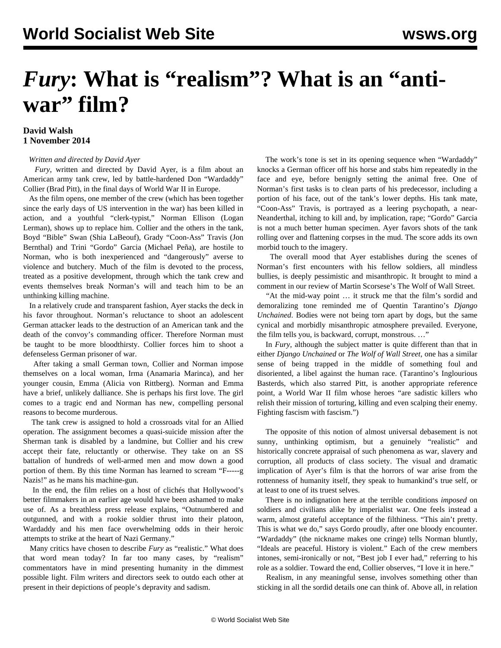## *Fury***: What is "realism"? What is an "anti**war" film?

## **David Walsh 1 November 2014**

## *Written and directed by David Ayer*

 *Fury*, written and directed by David Ayer, is a film about an American army tank crew, led by battle-hardened Don "Wardaddy" Collier (Brad Pitt), in the final days of World War II in Europe.

 As the film opens, one member of the crew (which has been together since the early days of US intervention in the war) has been killed in action, and a youthful "clerk-typist," Norman Ellison (Logan Lerman), shows up to replace him. Collier and the others in the tank, Boyd "Bible" Swan (Shia LaBeouf), Grady "Coon-Ass" Travis (Jon Bernthal) and Trini "Gordo" Garcia (Michael Peña), are hostile to Norman, who is both inexperienced and "dangerously" averse to violence and butchery. Much of the film is devoted to the process, treated as a positive development, through which the tank crew and events themselves break Norman's will and teach him to be an unthinking killing machine.

 In a relatively crude and transparent fashion, Ayer stacks the deck in his favor throughout. Norman's reluctance to shoot an adolescent German attacker leads to the destruction of an American tank and the death of the convoy's commanding officer. Therefore Norman must be taught to be more bloodthirsty. Collier forces him to shoot a defenseless German prisoner of war.

 After taking a small German town, Collier and Norman impose themselves on a local woman, Irma (Anamaria Marinca), and her younger cousin, Emma (Alicia von Rittberg). Norman and Emma have a brief, unlikely dalliance. She is perhaps his first love. The girl comes to a tragic end and Norman has new, compelling personal reasons to become murderous.

 The tank crew is assigned to hold a crossroads vital for an Allied operation. The assignment becomes a quasi-suicide mission after the Sherman tank is disabled by a landmine, but Collier and his crew accept their fate, reluctantly or otherwise. They take on an SS battalion of hundreds of well-armed men and mow down a good portion of them. By this time Norman has learned to scream "F-----g Nazis!" as he mans his machine-gun.

 In the end, the film relies on a host of clichés that Hollywood's better filmmakers in an earlier age would have been ashamed to make use of. As a breathless press release explains, "Outnumbered and outgunned, and with a rookie soldier thrust into their platoon, Wardaddy and his men face overwhelming odds in their heroic attempts to strike at the heart of Nazi Germany."

 Many critics have chosen to describe *Fury* as "realistic." What does that word mean today? In far too many cases, by "realism" commentators have in mind presenting humanity in the dimmest possible light. Film writers and directors seek to outdo each other at present in their depictions of people's depravity and sadism.

 The work's tone is set in its opening sequence when "Wardaddy" knocks a German officer off his horse and stabs him repeatedly in the face and eye, before benignly setting the animal free. One of Norman's first tasks is to clean parts of his predecessor, including a portion of his face, out of the tank's lower depths. His tank mate, "Coon-Ass" Travis, is portrayed as a leering psychopath, a near-Neanderthal, itching to kill and, by implication, rape; "Gordo" Garcia is not a much better human specimen. Ayer favors shots of the tank rolling over and flattening corpses in the mud. The score adds its own morbid touch to the imagery.

 The overall mood that Ayer establishes during the scenes of Norman's first encounters with his fellow soldiers, all mindless bullies, is deeply pessimistic and misanthropic. It brought to mind a comment in our review of Martin Scorsese's [The Wolf of Wall Street](/en/articles/2013/12/30/wolf-d30.html)*.*

 "At the mid-way point … it struck me that the film's sordid and demoralizing tone reminded me of Quentin Tarantino's *Django Unchained*. Bodies were not being torn apart by dogs, but the same cynical and morbidly misanthropic atmosphere prevailed. Everyone, the film tells you, is backward, corrupt, monstrous. …"

 In *Fury*, although the subject matter is quite different than that in either *Django Unchained* or *The Wolf of Wall Street*, one has a similar sense of being trapped in the middle of something foul and disoriented, a libel against the human race. (Tarantino's [Inglourious](/en/articles/2009/09/bast-s01.html) [Basterds](/en/articles/2009/09/bast-s01.html), which also starred Pitt, is another appropriate reference point, a World War II film whose heroes "are sadistic killers who relish their mission of torturing, killing and even scalping their enemy. Fighting fascism with fascism.")

 The opposite of this notion of almost universal debasement is not sunny, unthinking optimism, but a genuinely "realistic" and historically concrete appraisal of such phenomena as war, slavery and corruption, all products of class society. The visual and dramatic implication of Ayer's film is that the horrors of war arise from the rottenness of humanity itself, they speak to humankind's true self, or at least to one of its truest selves.

 There is no indignation here at the terrible conditions *imposed* on soldiers and civilians alike by imperialist war. One feels instead a warm, almost grateful acceptance of the filthiness. "This ain't pretty. This is what we do," says Gordo proudly, after one bloody encounter. "Wardaddy" (the nickname makes one cringe) tells Norman bluntly, "Ideals are peaceful. History is violent." Each of the crew members intones, semi-ironically or not, "Best job I ever had," referring to his role as a soldier. Toward the end, Collier observes, "I love it in here."

 Realism, in any meaningful sense, involves something other than sticking in all the sordid details one can think of. Above all, in relation